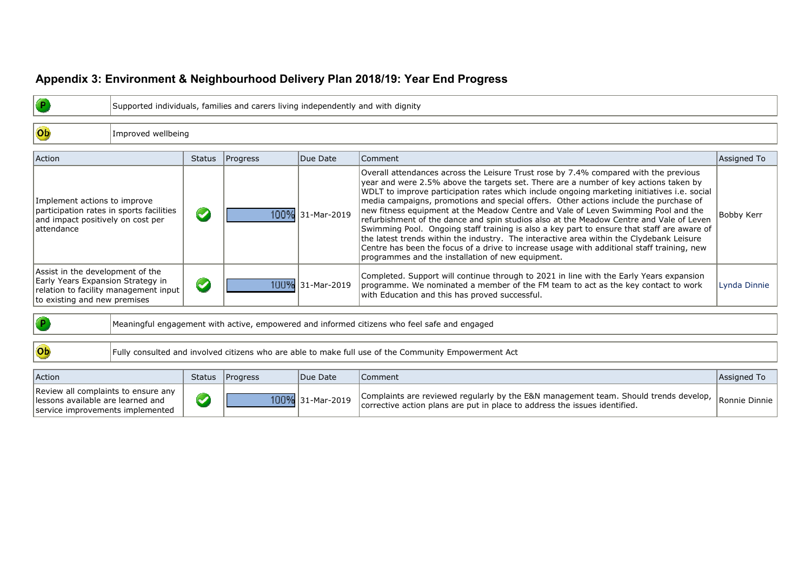## **Appendix 3: Environment & Neighbourhood Delivery Plan 2018/19: Year End Progress**

|                                                                                                                              |                    | Supported individuals, families and carers living independently and with dignity |  |                  |                                                                                                                                                                                                                                                                                                                                                                                                                                                                                                                                                                                                                                                                                                                                                                                                                                                                                                    |                   |  |  |  |  |  |
|------------------------------------------------------------------------------------------------------------------------------|--------------------|----------------------------------------------------------------------------------|--|------------------|----------------------------------------------------------------------------------------------------------------------------------------------------------------------------------------------------------------------------------------------------------------------------------------------------------------------------------------------------------------------------------------------------------------------------------------------------------------------------------------------------------------------------------------------------------------------------------------------------------------------------------------------------------------------------------------------------------------------------------------------------------------------------------------------------------------------------------------------------------------------------------------------------|-------------------|--|--|--|--|--|
| Ob                                                                                                                           | Improved wellbeing |                                                                                  |  |                  |                                                                                                                                                                                                                                                                                                                                                                                                                                                                                                                                                                                                                                                                                                                                                                                                                                                                                                    |                   |  |  |  |  |  |
| <b>Action</b>                                                                                                                |                    | Status   Progress<br>Due Date                                                    |  |                  | Comment                                                                                                                                                                                                                                                                                                                                                                                                                                                                                                                                                                                                                                                                                                                                                                                                                                                                                            | Assigned To       |  |  |  |  |  |
| Implement actions to improve<br>participation rates in sports facilities<br>and impact positively on cost per<br>lattendance |                    | <b>CA</b>                                                                        |  | 100% 31-Mar-2019 | Overall attendances across the Leisure Trust rose by 7.4% compared with the previous<br>year and were 2.5% above the targets set. There are a number of key actions taken by<br>WDLT to improve participation rates which include ongoing marketing initiatives i.e. social<br>media campaigns, promotions and special offers. Other actions include the purchase of<br>new fitness equipment at the Meadow Centre and Vale of Leven Swimming Pool and the<br>refurbishment of the dance and spin studios also at the Meadow Centre and Vale of Leven<br>Swimming Pool. Ongoing staff training is also a key part to ensure that staff are aware of<br>the latest trends within the industry. The interactive area within the Clydebank Leisure<br>Centre has been the focus of a drive to increase usage with additional staff training, new<br>programmes and the installation of new equipment. | <b>Bobby Kerr</b> |  |  |  |  |  |

| Assist in the development of the<br>Early Years Expansion Strategy in<br>relation to facility management input  <br>to existing and new premises |  | 100% 31-Mar-2019 | Completed. Support will continue through to 2021 in line with the Early Years expansion<br>programme. We nominated a member of the FM team to act as the key contact to work<br>with Education and this has proved successful. | Lynda Dinnie |
|--------------------------------------------------------------------------------------------------------------------------------------------------|--|------------------|--------------------------------------------------------------------------------------------------------------------------------------------------------------------------------------------------------------------------------|--------------|
|                                                                                                                                                  |  |                  |                                                                                                                                                                                                                                |              |

Meaningful engagement with active, empowered and informed citizens who feel safe and engaged

 $\bullet$ 

 $\overline{\text{ob}}$ 

Fully consulted and involved citizens who are able to make full use of the Community Empowerment Act

| Action                                                                                                        | Status   Progress | Due Date         | Comment                                                                                                                                                                                             | Assigned To |
|---------------------------------------------------------------------------------------------------------------|-------------------|------------------|-----------------------------------------------------------------------------------------------------------------------------------------------------------------------------------------------------|-------------|
| Review all complaints to ensure any<br>llessons available are learned and<br>service improvements implemented |                   | 100% 31-Mar-2019 | $\alpha$   Complaints are reviewed regularly by the E&N management team. Should trends develop, $\vert$ Ronnie Dinnie<br>corrective action plans are put in place to address the issues identified. |             |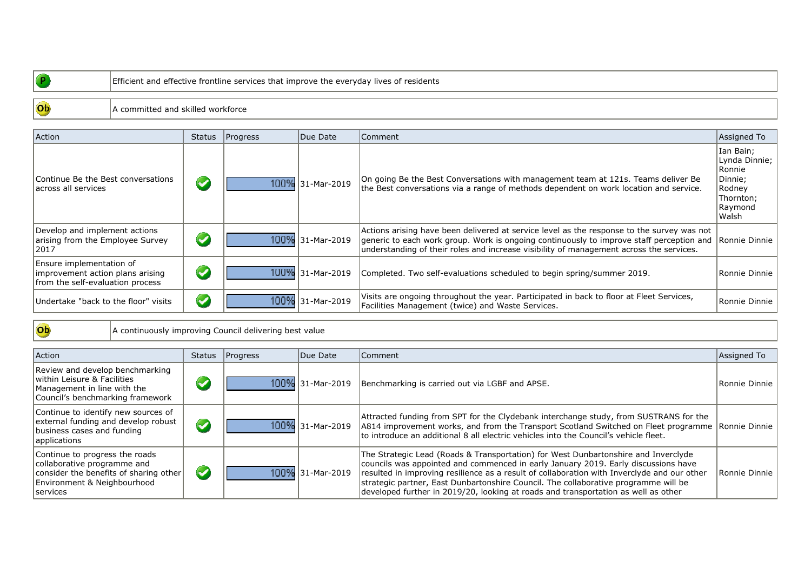## $\bullet$

 $\overline{\text{Ob}}$ 

## Efficient and effective frontline services that improve the everyday lives of residents

## A committed and skilled workforce

| Action                                                                                           | Status | Progress | Due Date         | Comment                                                                                                                                                                                                                                                                           | Assigned To                                                                                |
|--------------------------------------------------------------------------------------------------|--------|----------|------------------|-----------------------------------------------------------------------------------------------------------------------------------------------------------------------------------------------------------------------------------------------------------------------------------|--------------------------------------------------------------------------------------------|
| Continue Be the Best conversations<br>lacross all services                                       |        |          | 100% 31-Mar-2019 | On going Be the Best Conversations with management team at 121s. Teams deliver Be<br>the Best conversations via a range of methods dependent on work location and service.                                                                                                        | Ian Bain;<br>Lynda Dinnie;<br>Ronnie<br>Dinnie;<br>Rodney<br>Thornton;<br>Raymond<br>Walsh |
| Develop and implement actions<br>arising from the Employee Survey<br> 2017                       |        |          | 100% 31-Mar-2019 | Actions arising have been delivered at service level as the response to the survey was not<br>generic to each work group. Work is ongoing continuously to improve staff perception and<br>understanding of their roles and increase visibility of management across the services. | Ronnie Dinnie                                                                              |
| Ensure implementation of<br>improvement action plans arising<br>from the self-evaluation process |        |          | 1UU% 31-Mar-2019 | Completed. Two self-evaluations scheduled to begin spring/summer 2019.                                                                                                                                                                                                            | Ronnie Dinnie                                                                              |
| Undertake "back to the floor" visits                                                             | Ø      |          | 100% 31-Mar-2019 | Visits are ongoing throughout the year. Participated in back to floor at Fleet Services,<br>Facilities Management (twice) and Waste Services.                                                                                                                                     | Ronnie Dinnie                                                                              |

 $\overline{\text{Ob}}$ 

A continuously improving Council delivering best value

| Action                                                                                                                                              | Status                  | Progress | Due Date         | Comment                                                                                                                                                                                                                                                                                                                                                                                                                                              | Assigned To   |
|-----------------------------------------------------------------------------------------------------------------------------------------------------|-------------------------|----------|------------------|------------------------------------------------------------------------------------------------------------------------------------------------------------------------------------------------------------------------------------------------------------------------------------------------------------------------------------------------------------------------------------------------------------------------------------------------------|---------------|
| Review and develop benchmarking<br>within Leisure & Facilities<br>Management in line with the<br>Council's benchmarking framework                   |                         |          | 100% 31-Mar-2019 | Benchmarking is carried out via LGBF and APSE.                                                                                                                                                                                                                                                                                                                                                                                                       | Ronnie Dinnie |
| Continue to identify new sources of<br>external funding and develop robust<br>business cases and funding<br>applications                            | $\overline{\mathbf{C}}$ |          | 100% 31-Mar-2019 | Attracted funding from SPT for the Clydebank interchange study, from SUSTRANS for the<br>A814 improvement works, and from the Transport Scotland Switched on Fleet programme Ronnie Dinnie<br>to introduce an additional 8 all electric vehicles into the Council's vehicle fleet.                                                                                                                                                                   |               |
| Continue to progress the roads<br>collaborative programme and<br>consider the benefits of sharing other<br>Environment & Neighbourhood<br> services | $\blacktriangledown$    |          | 100% 31-Mar-2019 | The Strategic Lead (Roads & Transportation) for West Dunbartonshire and Inverclyde<br>councils was appointed and commenced in early January 2019. Early discussions have<br>resulted in improving resilience as a result of collaboration with Inverclyde and our other<br>strategic partner, East Dunbartonshire Council. The collaborative programme will be<br>developed further in 2019/20, looking at roads and transportation as well as other | Ronnie Dinnie |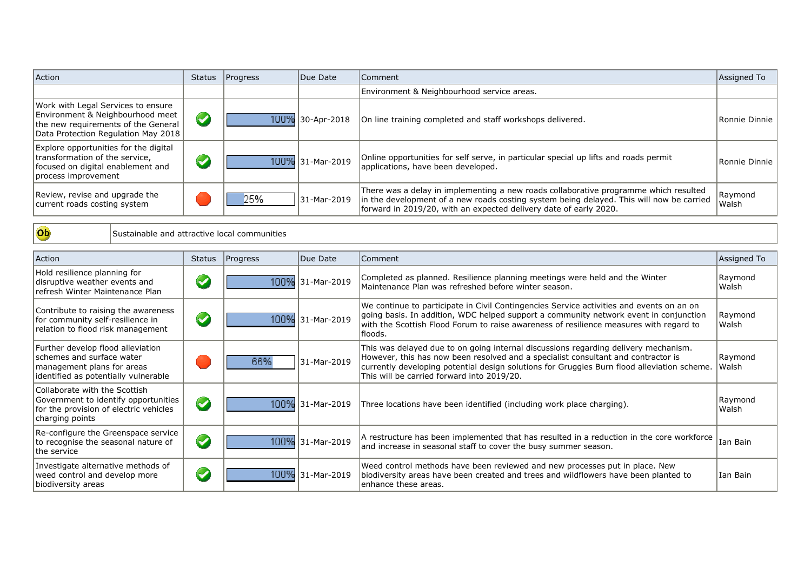| Action                                                                                                                                               | <b>Status</b> | Progress | Due Date         | Comment                                                                                                                                                                                                                                               | Assigned To      |
|------------------------------------------------------------------------------------------------------------------------------------------------------|---------------|----------|------------------|-------------------------------------------------------------------------------------------------------------------------------------------------------------------------------------------------------------------------------------------------------|------------------|
|                                                                                                                                                      |               |          |                  | Environment & Neighbourhood service areas.                                                                                                                                                                                                            |                  |
| Work with Legal Services to ensure<br>Environment & Neighbourhood meet<br>the new requirements of the General<br>Data Protection Regulation May 2018 |               | 100%     | 30-Apr-2018      | On line training completed and staff workshops delivered.                                                                                                                                                                                             | Ronnie Dinnie    |
| Explore opportunities for the digital<br>Itransformation of the service.<br>focused on digital enablement and<br>process improvement                 |               |          | 1UU% 31-Mar-2019 | Online opportunities for self serve, in particular special up lifts and roads permit<br>applications, have been developed.                                                                                                                            | Ronnie Dinnie    |
| Review, revise and upgrade the<br>current roads costing system                                                                                       |               | 25%      | 31-Mar-2019      | There was a delay in implementing a new roads collaborative programme which resulted<br>in the development of a new roads costing system being delayed. This will now be carried<br>forward in 2019/20, with an expected delivery date of early 2020. | Raymond<br>Walsh |

 $\overline{ob}$ 

Sustainable and attractive local communities

| Action                                                                                                                               | <b>Status</b>        | Progress | Due Date         | Comment                                                                                                                                                                                                                                                                                                               | Assigned To      |
|--------------------------------------------------------------------------------------------------------------------------------------|----------------------|----------|------------------|-----------------------------------------------------------------------------------------------------------------------------------------------------------------------------------------------------------------------------------------------------------------------------------------------------------------------|------------------|
| Hold resilience planning for<br>disruptive weather events and<br>refresh Winter Maintenance Plan                                     | $\blacktriangledown$ |          | 100% 31-Mar-2019 | Completed as planned. Resilience planning meetings were held and the Winter<br>Maintenance Plan was refreshed before winter season.                                                                                                                                                                                   | Raymond<br>Walsh |
| Contribute to raising the awareness<br>for community self-resilience in<br>relation to flood risk management                         | <b>C</b>             |          | 100% 31-Mar-2019 | We continue to participate in Civil Contingencies Service activities and events on an on<br>going basis. In addition, WDC helped support a community network event in conjunction<br>with the Scottish Flood Forum to raise awareness of resilience measures with regard to<br> floods.                               | Raymond<br>Walsh |
| Further develop flood alleviation<br>schemes and surface water<br>management plans for areas<br>identified as potentially vulnerable |                      | 66%      | 31-Mar-2019      | This was delayed due to on going internal discussions regarding delivery mechanism.<br>However, this has now been resolved and a specialist consultant and contractor is<br>currently developing potential design solutions for Gruggies Burn flood alleviation scheme.<br>This will be carried forward into 2019/20. | Raymond<br>Walsh |
| Collaborate with the Scottish<br>Government to identify opportunities<br>for the provision of electric vehicles<br>charging points   | $\blacktriangledown$ |          | 100% 31-Mar-2019 | Three locations have been identified (including work place charging).                                                                                                                                                                                                                                                 | Raymond<br>Walsh |
| Re-configure the Greenspace service<br>to recognise the seasonal nature of<br>lthe service                                           | $\blacktriangledown$ |          | 100% 31-Mar-2019 | A restructure has been implemented that has resulted in a reduction in the core workforce<br>and increase in seasonal staff to cover the busy summer season.                                                                                                                                                          | Ian Bain         |
| Investigate alternative methods of<br>weed control and develop more<br>biodiversity areas                                            | $\blacktriangledown$ |          | 100% 31-Mar-2019 | Weed control methods have been reviewed and new processes put in place. New<br>biodiversity areas have been created and trees and wildflowers have been planted to<br>lenhance these areas.                                                                                                                           | Ian Bain         |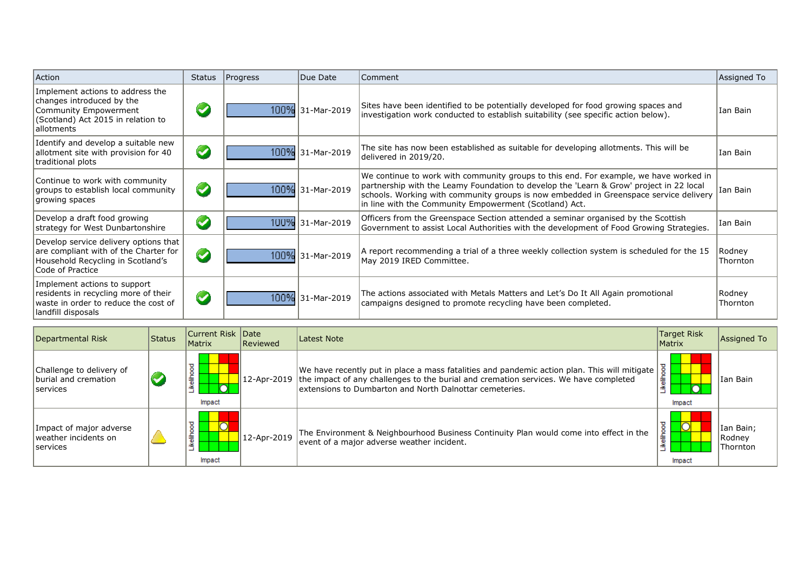| Action                                                                                                                                      | Due Date<br>Progress<br><b>Comment</b><br>Status |  | Assigned To      |                                                                                                                                                                                                                                                                                                                                     |                    |
|---------------------------------------------------------------------------------------------------------------------------------------------|--------------------------------------------------|--|------------------|-------------------------------------------------------------------------------------------------------------------------------------------------------------------------------------------------------------------------------------------------------------------------------------------------------------------------------------|--------------------|
| Implement actions to address the<br>changes introduced by the<br>Community Empowerment<br>(Scotland) Act 2015 in relation to<br>lallotments | $\blacktriangledown$                             |  | 100% 31-Mar-2019 | Sites have been identified to be potentially developed for food growing spaces and<br>investigation work conducted to establish suitability (see specific action below).                                                                                                                                                            | Ian Bain           |
| Identify and develop a suitable new<br>allotment site with provision for 40<br>traditional plots                                            | $\blacktriangledown$                             |  | 100% 31-Mar-2019 | The site has now been established as suitable for developing allotments. This will be<br>delivered in 2019/20.                                                                                                                                                                                                                      | Ian Bain           |
| Continue to work with community<br>groups to establish local community<br>growing spaces                                                    | $\blacktriangledown$                             |  | 100% 31-Mar-2019 | We continue to work with community groups to this end. For example, we have worked in<br>partnership with the Leamy Foundation to develop the 'Learn & Grow' project in 22 local<br>schools. Working with community groups is now embedded in Greenspace service delivery<br>in line with the Community Empowerment (Scotland) Act. | Ian Bain           |
| Develop a draft food growing<br>strategy for West Dunbartonshire                                                                            | $\blacktriangledown$                             |  | 100% 31-Mar-2019 | Officers from the Greenspace Section attended a seminar organised by the Scottish<br>Government to assist Local Authorities with the development of Food Growing Strategies.                                                                                                                                                        | Ian Bain           |
| Develop service delivery options that<br>are compliant with of the Charter for<br>Household Recycling in Scotland's<br>Code of Practice     | $\blacktriangledown$                             |  | 100% 31-Mar-2019 | A report recommending a trial of a three weekly collection system is scheduled for the 15<br>May 2019 IRED Committee.                                                                                                                                                                                                               | Rodney<br>Thornton |
| Implement actions to support<br>residents in recycling more of their<br>waste in order to reduce the cost of<br>landfill disposals          | $\blacktriangledown$                             |  | 100% 31-Mar-2019 | The actions associated with Metals Matters and Let's Do It All Again promotional<br>campaigns designed to promote recycling have been completed.                                                                                                                                                                                    | Rodney<br>Thornton |

| Departmental Risk                                                   | <b>Status</b> | Current Risk Date<br><b>Matrix</b>   | Reviewed          | Latest Note                                                                                                                                                                                                                                     | <b>Target Risk</b><br>Matrix | Assigned To                            |
|---------------------------------------------------------------------|---------------|--------------------------------------|-------------------|-------------------------------------------------------------------------------------------------------------------------------------------------------------------------------------------------------------------------------------------------|------------------------------|----------------------------------------|
| Challenge to delivery of<br>burial and cremation<br><b>Services</b> |               | ष्ठ<br>$\circ$<br>i<br>Nei<br>Impact | 12-Apr-2019       | We have recently put in place a mass fatalities and pandemic action plan. This will mitigate<br>the impact of any challenges to the burial and cremation services. We have completed<br>extensions to Dumbarton and North Dalnottar cemeteries. | 흫<br>Impact                  | IIan Bain                              |
| Impact of major adverse<br>weather incidents on<br><b>Services</b>  |               | g<br>≚<br>Impact                     | $12 - Apr - 2019$ | The Environment & Neighbourhood Business Continuity Plan would come into effect in the<br>event of a major adverse weather incident.                                                                                                            | ठ<br>Impact                  | Ian Bain;<br>Rodney<br><b>Thornton</b> |